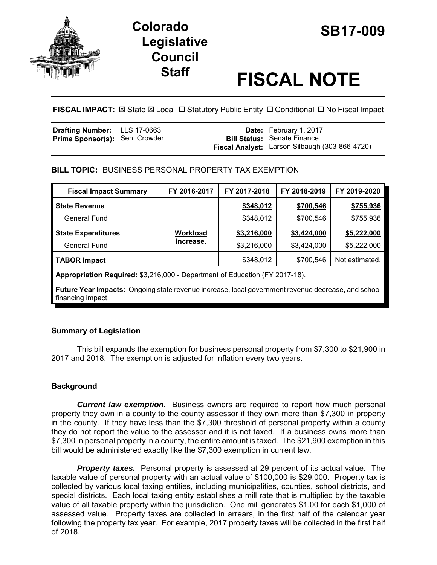

# **SB17-009 Colorado Legislative Council**

# **Staff FISCAL NOTE**

**FISCAL IMPACT:**  $\boxtimes$  **State**  $\boxtimes$  **Local □ Statutory Public Entity □ Conditional □ No Fiscal Impact** 

| <b>Drafting Number:</b> LLS 17-0663   |  | <b>Date:</b> February 1, 2017                  |
|---------------------------------------|--|------------------------------------------------|
| <b>Prime Sponsor(s): Sen. Crowder</b> |  | <b>Bill Status: Senate Finance</b>             |
|                                       |  | Fiscal Analyst: Larson Silbaugh (303-866-4720) |

# **BILL TOPIC:** BUSINESS PERSONAL PROPERTY TAX EXEMPTION

| <b>Fiscal Impact Summary</b>                                                                                            | FY 2016-2017 | FY 2017-2018 | FY 2018-2019 | FY 2019-2020   |  |
|-------------------------------------------------------------------------------------------------------------------------|--------------|--------------|--------------|----------------|--|
| <b>State Revenue</b>                                                                                                    |              | \$348,012    | \$700,546    | \$755,936      |  |
| General Fund                                                                                                            |              | \$348,012    | \$700,546    | \$755,936      |  |
| <b>State Expenditures</b>                                                                                               | Workload     | \$3,216,000  | \$3,424,000  | \$5,222,000    |  |
| General Fund                                                                                                            | increase.    | \$3,216,000  | \$3,424,000  | \$5,222,000    |  |
| <b>TABOR Impact</b>                                                                                                     |              | \$348,012    | \$700,546    | Not estimated. |  |
| Appropriation Required: \$3,216,000 - Department of Education (FY 2017-18).                                             |              |              |              |                |  |
| Future Year Impacts: Ongoing state revenue increase, local government revenue decrease, and school<br>financing impact. |              |              |              |                |  |

# **Summary of Legislation**

This bill expands the exemption for business personal property from \$7,300 to \$21,900 in 2017 and 2018. The exemption is adjusted for inflation every two years.

# **Background**

*Current law exemption.* Business owners are required to report how much personal property they own in a county to the county assessor if they own more than \$7,300 in property in the county. If they have less than the \$7,300 threshold of personal property within a county they do not report the value to the assessor and it is not taxed. If a business owns more than \$7,300 in personal property in a county, the entire amount is taxed. The \$21,900 exemption in this bill would be administered exactly like the \$7,300 exemption in current law.

**Property taxes.** Personal property is assessed at 29 percent of its actual value. The taxable value of personal property with an actual value of \$100,000 is \$29,000. Property tax is collected by various local taxing entities, including municipalities, counties, school districts, and special districts. Each local taxing entity establishes a mill rate that is multiplied by the taxable value of all taxable property within the jurisdiction. One mill generates \$1.00 for each \$1,000 of assessed value. Property taxes are collected in arrears, in the first half of the calendar year following the property tax year. For example, 2017 property taxes will be collected in the first half of 2018.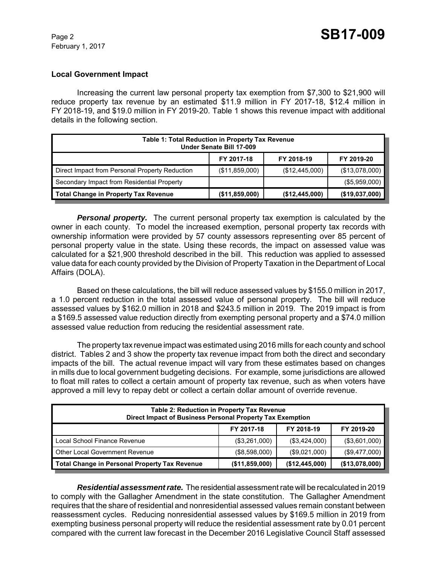#### **Local Government Impact**

Increasing the current law personal property tax exemption from \$7,300 to \$21,900 will reduce property tax revenue by an estimated \$11.9 million in FY 2017-18, \$12.4 million in FY 2018-19, and \$19.0 million in FY 2019-20. Table 1 shows this revenue impact with additional details in the following section.

| Table 1: Total Reduction in Property Tax Revenue<br>Under Senate Bill 17-009 |                |                |                |  |
|------------------------------------------------------------------------------|----------------|----------------|----------------|--|
|                                                                              | FY 2017-18     | FY 2018-19     | FY 2019-20     |  |
| Direct Impact from Personal Property Reduction                               | (\$11,859,000) | (\$12,445,000) | (\$13,078,000) |  |
| Secondary Impact from Residential Property                                   |                |                | (\$5,959,000)  |  |
| Total Change in Property Tax Revenue                                         | (\$11,859,000) | (\$12,445,000) | (\$19,037,000) |  |

**Personal property.** The current personal property tax exemption is calculated by the owner in each county. To model the increased exemption, personal property tax records with ownership information were provided by 57 county assessors representing over 85 percent of personal property value in the state. Using these records, the impact on assessed value was calculated for a \$21,900 threshold described in the bill. This reduction was applied to assessed value data for each county provided by the Division of Property Taxation in the Department of Local Affairs (DOLA).

Based on these calculations, the bill will reduce assessed values by \$155.0 million in 2017, a 1.0 percent reduction in the total assessed value of personal property. The bill will reduce assessed values by \$162.0 million in 2018 and \$243.5 million in 2019. The 2019 impact is from a \$169.5 assessed value reduction directly from exempting personal property and a \$74.0 million assessed value reduction from reducing the residential assessment rate.

The property tax revenue impact was estimated using 2016 mills for each county and school district. Tables 2 and 3 show the property tax revenue impact from both the direct and secondary impacts of the bill. The actual revenue impact will vary from these estimates based on changes in mills due to local government budgeting decisions. For example, some jurisdictions are allowed to float mill rates to collect a certain amount of property tax revenue, such as when voters have approved a mill levy to repay debt or collect a certain dollar amount of override revenue.

| <b>Table 2: Reduction in Property Tax Revenue</b><br>Direct Impact of Business Personal Property Tax Exemption |                |                |                |  |
|----------------------------------------------------------------------------------------------------------------|----------------|----------------|----------------|--|
|                                                                                                                | FY 2017-18     | FY 2018-19     | FY 2019-20     |  |
| Local School Finance Revenue                                                                                   | (\$3,261,000)  | (\$3,424,000)  | (\$3,601,000)  |  |
| Other Local Government Revenue                                                                                 | (\$8,598,000)  | (\$9,021,000)  | (\$9,477,000)  |  |
| <b>Total Change in Personal Property Tax Revenue</b>                                                           | (\$11,859,000) | (\$12,445,000) | (\$13,078,000) |  |

*Residential assessment rate.* The residential assessment rate will be recalculated in 2019 to comply with the Gallagher Amendment in the state constitution. The Gallagher Amendment requires that the share of residential and nonresidential assessed values remain constant between reassessment cycles. Reducing nonresidential assessed values by \$169.5 million in 2019 from exempting business personal property will reduce the residential assessment rate by 0.01 percent compared with the current law forecast in the December 2016 Legislative Council Staff assessed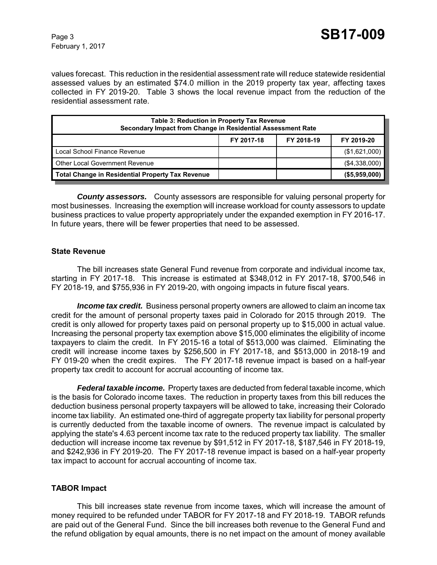February 1, 2017

values forecast. This reduction in the residential assessment rate will reduce statewide residential assessed values by an estimated \$74.0 million in the 2019 property tax year, affecting taxes collected in FY 2019-20. Table 3 shows the local revenue impact from the reduction of the residential assessment rate.

| Table 3: Reduction in Property Tax Revenue<br>Secondary Impact from Change in Residential Assessment Rate |            |            |                  |  |
|-----------------------------------------------------------------------------------------------------------|------------|------------|------------------|--|
|                                                                                                           | FY 2017-18 | FY 2018-19 | FY 2019-20       |  |
| Local School Finance Revenue                                                                              |            |            | (\$1,621,000)    |  |
| Other Local Government Revenue                                                                            |            |            | (\$4,338,000)    |  |
| <b>Total Change in Residential Property Tax Revenue</b>                                                   |            |            | $($ \$5,959,000) |  |

*County assessors.* County assessors are responsible for valuing personal property for most businesses. Increasing the exemption will increase workload for county assessors to update business practices to value property appropriately under the expanded exemption in FY 2016-17. In future years, there will be fewer properties that need to be assessed.

#### **State Revenue**

The bill increases state General Fund revenue from corporate and individual income tax, starting in FY 2017-18. This increase is estimated at \$348,012 in FY 2017-18, \$700,546 in FY 2018-19, and \$755,936 in FY 2019-20, with ongoing impacts in future fiscal years.

**Income tax credit.** Business personal property owners are allowed to claim an income tax credit for the amount of personal property taxes paid in Colorado for 2015 through 2019. The credit is only allowed for property taxes paid on personal property up to \$15,000 in actual value. Increasing the personal property tax exemption above \$15,000 eliminates the eligibility of income taxpayers to claim the credit. In FY 2015-16 a total of \$513,000 was claimed. Eliminating the credit will increase income taxes by \$256,500 in FY 2017-18, and \$513,000 in 2018-19 and FY 019-20 when the credit expires. The FY 2017-18 revenue impact is based on a half-year property tax credit to account for accrual accounting of income tax.

*Federal taxable income.* Property taxes are deducted from federal taxable income, which is the basis for Colorado income taxes. The reduction in property taxes from this bill reduces the deduction business personal property taxpayers will be allowed to take, increasing their Colorado income tax liability. An estimated one-third of aggregate property tax liability for personal property is currently deducted from the taxable income of owners. The revenue impact is calculated by applying the state's 4.63 percent income tax rate to the reduced property tax liability. The smaller deduction will increase income tax revenue by \$91,512 in FY 2017-18, \$187,546 in FY 2018-19, and \$242,936 in FY 2019-20. The FY 2017-18 revenue impact is based on a half-year property tax impact to account for accrual accounting of income tax.

#### **TABOR Impact**

This bill increases state revenue from income taxes, which will increase the amount of money required to be refunded under TABOR for FY 2017-18 and FY 2018-19. TABOR refunds are paid out of the General Fund. Since the bill increases both revenue to the General Fund and the refund obligation by equal amounts, there is no net impact on the amount of money available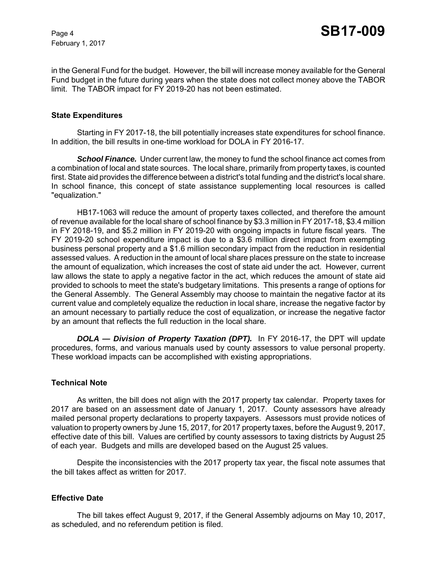February 1, 2017

in the General Fund for the budget. However, the bill will increase money available for the General Fund budget in the future during years when the state does not collect money above the TABOR limit. The TABOR impact for FY 2019-20 has not been estimated.

#### **State Expenditures**

Starting in FY 2017-18, the bill potentially increases state expenditures for school finance. In addition, the bill results in one-time workload for DOLA in FY 2016-17.

*School Finance.* Under current law, the money to fund the school finance act comes from a combination of local and state sources. The local share, primarily from property taxes, is counted first. State aid provides the difference between a district's total funding and the district's local share. In school finance, this concept of state assistance supplementing local resources is called "equalization."

HB17-1063 will reduce the amount of property taxes collected, and therefore the amount of revenue available for the local share of school finance by \$3.3 million in FY 2017-18, \$3.4 million in FY 2018-19, and \$5.2 million in FY 2019-20 with ongoing impacts in future fiscal years. The FY 2019-20 school expenditure impact is due to a \$3.6 million direct impact from exempting business personal property and a \$1.6 million secondary impact from the reduction in residential assessed values. A reduction in the amount of local share places pressure on the state to increase the amount of equalization, which increases the cost of state aid under the act. However, current law allows the state to apply a negative factor in the act, which reduces the amount of state aid provided to schools to meet the state's budgetary limitations. This presents a range of options for the General Assembly. The General Assembly may choose to maintain the negative factor at its current value and completely equalize the reduction in local share, increase the negative factor by an amount necessary to partially reduce the cost of equalization, or increase the negative factor by an amount that reflects the full reduction in the local share.

*DOLA — Division of Property Taxation (DPT).* In FY 2016-17, the DPT will update procedures, forms, and various manuals used by county assessors to value personal property. These workload impacts can be accomplished with existing appropriations.

#### **Technical Note**

As written, the bill does not align with the 2017 property tax calendar. Property taxes for 2017 are based on an assessment date of January 1, 2017. County assessors have already mailed personal property declarations to property taxpayers. Assessors must provide notices of valuation to property owners by June 15, 2017, for 2017 property taxes, before the August 9, 2017, effective date of this bill. Values are certified by county assessors to taxing districts by August 25 of each year. Budgets and mills are developed based on the August 25 values.

Despite the inconsistencies with the 2017 property tax year, the fiscal note assumes that the bill takes affect as written for 2017.

#### **Effective Date**

The bill takes effect August 9, 2017, if the General Assembly adjourns on May 10, 2017, as scheduled, and no referendum petition is filed.